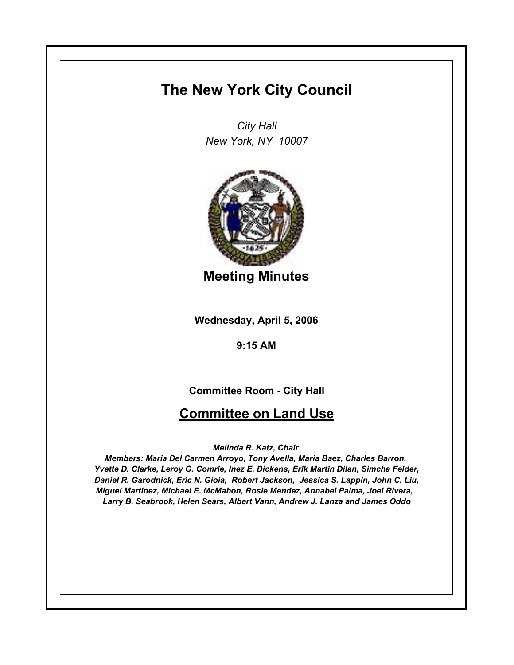## **The New York City Council**

*City Hall New York, NY 10007*



**Meeting Minutes**

**Wednesday, April 5, 2006**

**9:15 AM**

**Committee Room - City Hall**

## **Committee on Land Use**

*Melinda R. Katz, Chair* 

*Members: Maria Del Carmen Arroyo, Tony Avella, Maria Baez, Charles Barron, Yvette D. Clarke, Leroy G. Comrie, Inez E. Dickens, Erik Martin Dilan, Simcha Felder, Daniel R. Garodnick, Eric N. Gioia, Robert Jackson, Jessica S. Lappin, John C. Liu, Miguel Martinez, Michael E. McMahon, Rosie Mendez, Annabel Palma, Joel Rivera, Larry B. Seabrook, Helen Sears, Albert Vann, Andrew J. Lanza and James Oddo*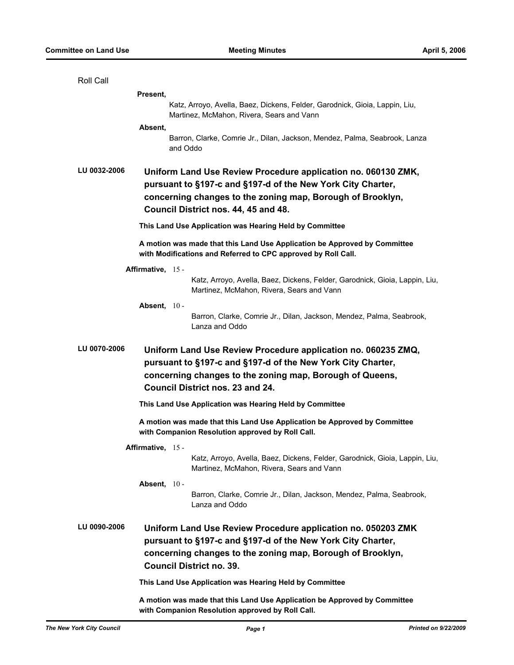| Roll Call    |                                                                                                                                                                                                                                     |
|--------------|-------------------------------------------------------------------------------------------------------------------------------------------------------------------------------------------------------------------------------------|
|              | Present,                                                                                                                                                                                                                            |
|              | Katz, Arroyo, Avella, Baez, Dickens, Felder, Garodnick, Gioia, Lappin, Liu,<br>Martinez, McMahon, Rivera, Sears and Vann                                                                                                            |
|              | Absent,<br>Barron, Clarke, Comrie Jr., Dilan, Jackson, Mendez, Palma, Seabrook, Lanza<br>and Oddo                                                                                                                                   |
| LU 0032-2006 | Uniform Land Use Review Procedure application no. 060130 ZMK,<br>pursuant to §197-c and §197-d of the New York City Charter,<br>concerning changes to the zoning map, Borough of Brooklyn,<br>Council District nos. 44, 45 and 48.  |
|              | This Land Use Application was Hearing Held by Committee                                                                                                                                                                             |
|              | A motion was made that this Land Use Application be Approved by Committee<br>with Modifications and Referred to CPC approved by Roll Call.                                                                                          |
|              | Affirmative, 15 -                                                                                                                                                                                                                   |
|              | Katz, Arroyo, Avella, Baez, Dickens, Felder, Garodnick, Gioia, Lappin, Liu,<br>Martinez, McMahon, Rivera, Sears and Vann                                                                                                            |
|              | Absent, $10 -$                                                                                                                                                                                                                      |
|              | Barron, Clarke, Comrie Jr., Dilan, Jackson, Mendez, Palma, Seabrook,<br>Lanza and Oddo                                                                                                                                              |
| LU 0070-2006 | Uniform Land Use Review Procedure application no. 060235 ZMQ,<br>pursuant to §197-c and §197-d of the New York City Charter,<br>concerning changes to the zoning map, Borough of Queens,<br><b>Council District nos. 23 and 24.</b> |
|              | This Land Use Application was Hearing Held by Committee                                                                                                                                                                             |
|              | A motion was made that this Land Use Application be Approved by Committee<br>with Companion Resolution approved by Roll Call.                                                                                                       |
|              | Affirmative, 15 -<br>Katz, Arroyo, Avella, Baez, Dickens, Felder, Garodnick, Gioia, Lappin, Liu,<br>Martinez, McMahon, Rivera, Sears and Vann                                                                                       |
|              | Absent, $10 -$<br>Barron, Clarke, Comrie Jr., Dilan, Jackson, Mendez, Palma, Seabrook,<br>Lanza and Oddo                                                                                                                            |
| LU 0090-2006 | Uniform Land Use Review Procedure application no. 050203 ZMK<br>pursuant to §197-c and §197-d of the New York City Charter,<br>concerning changes to the zoning map, Borough of Brooklyn,<br><b>Council District no. 39.</b>        |
|              | This Land Use Application was Hearing Held by Committee                                                                                                                                                                             |
|              | A motion was made that this Land Use Application be Approved by Committee<br>with Companion Resolution approved by Roll Call.                                                                                                       |